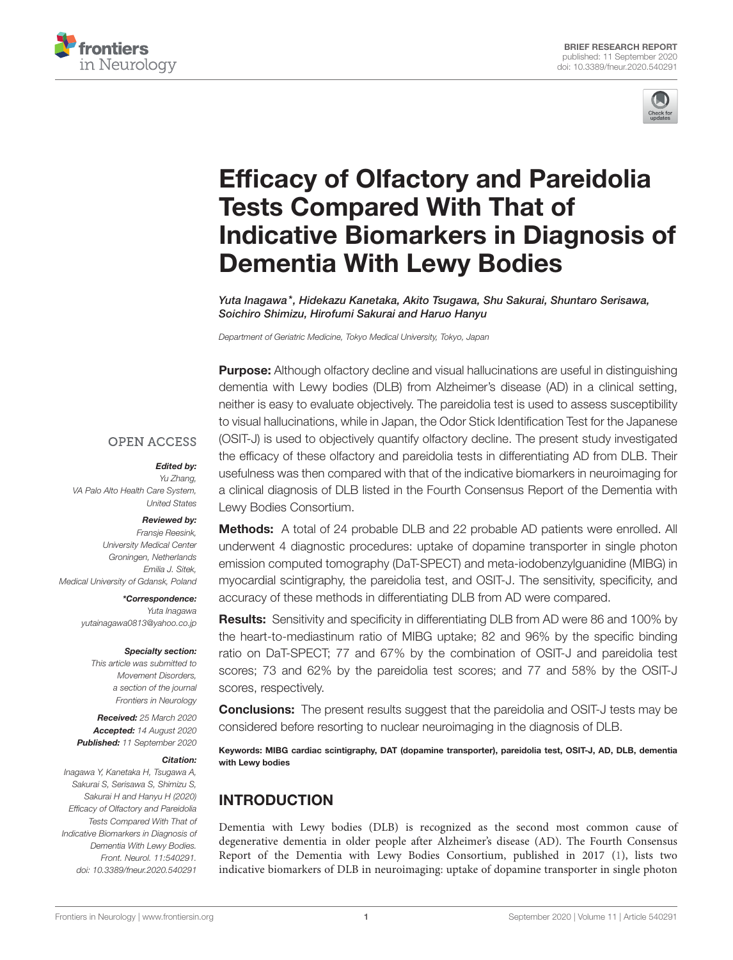



# Efficacy of Olfactory and Pareidolia Tests Compared With That of [Indicative Biomarkers in Diagnosis of](https://www.frontiersin.org/articles/10.3389/fneur.2020.540291/full) Dementia With Lewy Bodies

Yuta Inagawa\*, Hidekazu Kanetaka, Akito Tsugawa, Shu Sakurai, Shuntaro Serisawa, Soichiro Shimizu, Hirofumi Sakurai and Haruo Hanyu

*Department of Geriatric Medicine, Tokyo Medical University, Tokyo, Japan*

**Purpose:** Although olfactory decline and visual hallucinations are useful in distinguishing dementia with Lewy bodies (DLB) from Alzheimer's disease (AD) in a clinical setting, neither is easy to evaluate objectively. The pareidolia test is used to assess susceptibility to visual hallucinations, while in Japan, the Odor Stick Identification Test for the Japanese (OSIT-J) is used to objectively quantify olfactory decline. The present study investigated the efficacy of these olfactory and pareidolia tests in differentiating AD from DLB. Their usefulness was then compared with that of the indicative biomarkers in neuroimaging for a clinical diagnosis of DLB listed in the Fourth Consensus Report of the Dementia with Lewy Bodies Consortium.

#### **OPEN ACCESS**

#### Edited by:

*Yu Zhang, VA Palo Alto Health Care System, United States*

#### Reviewed by:

*Fransje Reesink, University Medical Center Groningen, Netherlands Emilia J. Sitek, Medical University of Gdansk, Poland*

> \*Correspondence: *Yuta Inagawa [yutainagawa0813@yahoo.co.jp](mailto:yutainagawa0813@yahoo.co.jp)*

#### Specialty section:

*This article was submitted to Movement Disorders, a section of the journal Frontiers in Neurology*

Received: *25 March 2020* Accepted: *14 August 2020* Published: *11 September 2020*

#### Citation:

*Inagawa Y, Kanetaka H, Tsugawa A, Sakurai S, Serisawa S, Shimizu S, Sakurai H and Hanyu H (2020) Efficacy of Olfactory and Pareidolia Tests Compared With That of Indicative Biomarkers in Diagnosis of Dementia With Lewy Bodies. Front. Neurol. 11:540291. doi: [10.3389/fneur.2020.540291](https://doi.org/10.3389/fneur.2020.540291)*

Methods: A total of 24 probable DLB and 22 probable AD patients were enrolled. All underwent 4 diagnostic procedures: uptake of dopamine transporter in single photon emission computed tomography (DaT-SPECT) and meta-iodobenzylguanidine (MIBG) in myocardial scintigraphy, the pareidolia test, and OSIT-J. The sensitivity, specificity, and accuracy of these methods in differentiating DLB from AD were compared.

**Results:** Sensitivity and specificity in differentiating DLB from AD were 86 and 100% by the heart-to-mediastinum ratio of MIBG uptake; 82 and 96% by the specific binding ratio on DaT-SPECT; 77 and 67% by the combination of OSIT-J and pareidolia test scores; 73 and 62% by the pareidolia test scores; and 77 and 58% by the OSIT-J scores, respectively.

**Conclusions:** The present results suggest that the pareidolia and OSIT-J tests may be considered before resorting to nuclear neuroimaging in the diagnosis of DLB.

Keywords: MIBG cardiac scintigraphy, DAT (dopamine transporter), pareidolia test, OSIT-J, AD, DLB, dementia with Lewy bodies

# INTRODUCTION

Dementia with Lewy bodies (DLB) is recognized as the second most common cause of degenerative dementia in older people after Alzheimer's disease (AD). The Fourth Consensus Report of the Dementia with Lewy Bodies Consortium, published in 2017 [\(1\)](#page-5-0), lists two indicative biomarkers of DLB in neuroimaging: uptake of dopamine transporter in single photon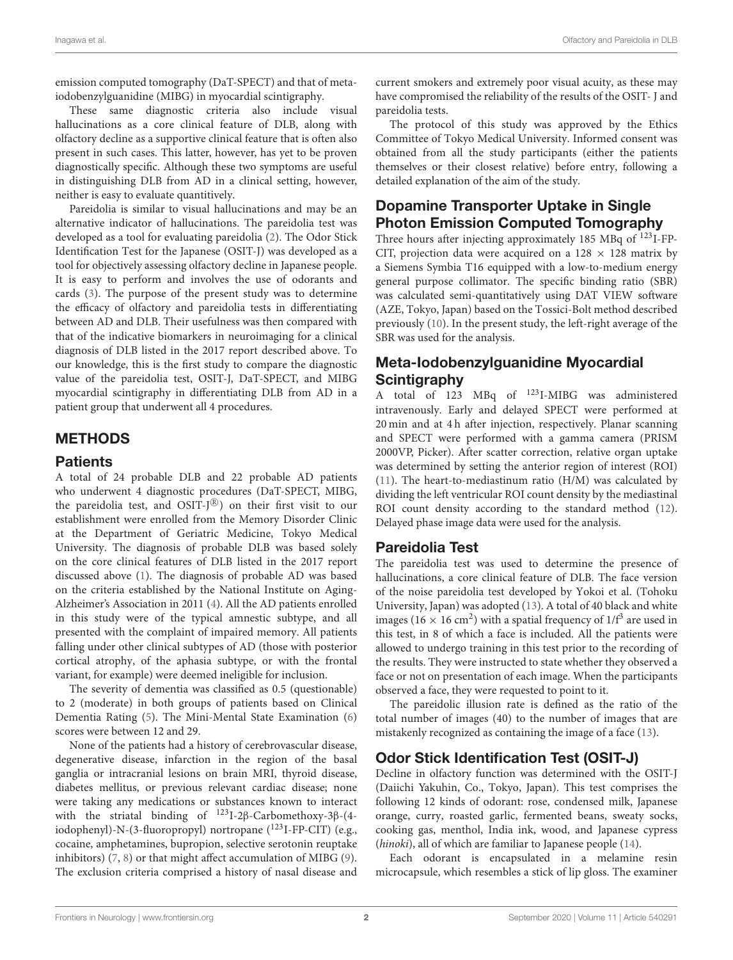emission computed tomography (DaT-SPECT) and that of metaiodobenzylguanidine (MIBG) in myocardial scintigraphy.

These same diagnostic criteria also include visual hallucinations as a core clinical feature of DLB, along with olfactory decline as a supportive clinical feature that is often also present in such cases. This latter, however, has yet to be proven diagnostically specific. Although these two symptoms are useful in distinguishing DLB from AD in a clinical setting, however, neither is easy to evaluate quantitively.

Pareidolia is similar to visual hallucinations and may be an alternative indicator of hallucinations. The pareidolia test was developed as a tool for evaluating pareidolia [\(2\)](#page-5-1). The Odor Stick Identification Test for the Japanese (OSIT-J) was developed as a tool for objectively assessing olfactory decline in Japanese people. It is easy to perform and involves the use of odorants and cards [\(3\)](#page-5-2). The purpose of the present study was to determine the efficacy of olfactory and pareidolia tests in differentiating between AD and DLB. Their usefulness was then compared with that of the indicative biomarkers in neuroimaging for a clinical diagnosis of DLB listed in the 2017 report described above. To our knowledge, this is the first study to compare the diagnostic value of the pareidolia test, OSIT-J, DaT-SPECT, and MIBG myocardial scintigraphy in differentiating DLB from AD in a patient group that underwent all 4 procedures.

# METHODS

### **Patients**

A total of 24 probable DLB and 22 probable AD patients who underwent 4 diagnostic procedures (DaT-SPECT, MIBG, the pareidolia test, and OSIT-J®) on their first visit to our establishment were enrolled from the Memory Disorder Clinic at the Department of Geriatric Medicine, Tokyo Medical University. The diagnosis of probable DLB was based solely on the core clinical features of DLB listed in the 2017 report discussed above [\(1\)](#page-5-0). The diagnosis of probable AD was based on the criteria established by the National Institute on Aging-Alzheimer's Association in 2011 [\(4\)](#page-5-3). All the AD patients enrolled in this study were of the typical amnestic subtype, and all presented with the complaint of impaired memory. All patients falling under other clinical subtypes of AD (those with posterior cortical atrophy, of the aphasia subtype, or with the frontal variant, for example) were deemed ineligible for inclusion.

The severity of dementia was classified as 0.5 (questionable) to 2 (moderate) in both groups of patients based on Clinical Dementia Rating [\(5\)](#page-5-4). The Mini-Mental State Examination [\(6\)](#page-5-5) scores were between 12 and 29.

None of the patients had a history of cerebrovascular disease, degenerative disease, infarction in the region of the basal ganglia or intracranial lesions on brain MRI, thyroid disease, diabetes mellitus, or previous relevant cardiac disease; none were taking any medications or substances known to interact with the striatal binding of <sup>123</sup>I-2β-Carbomethoxy-3β-(4iodophenyl)-N-(3-fluoropropyl) nortropane (<sup>123</sup>I-FP-CIT) (e.g., cocaine, amphetamines, bupropion, selective serotonin reuptake inhibitors) [\(7,](#page-5-6) [8\)](#page-5-7) or that might affect accumulation of MIBG [\(9\)](#page-5-8). The exclusion criteria comprised a history of nasal disease and current smokers and extremely poor visual acuity, as these may have compromised the reliability of the results of the OSIT- J and pareidolia tests.

The protocol of this study was approved by the Ethics Committee of Tokyo Medical University. Informed consent was obtained from all the study participants (either the patients themselves or their closest relative) before entry, following a detailed explanation of the aim of the study.

# Dopamine Transporter Uptake in Single Photon Emission Computed Tomography

Three hours after injecting approximately 185 MBq of <sup>123</sup>I-FP-CIT, projection data were acquired on a  $128 \times 128$  matrix by a Siemens Symbia T16 equipped with a low-to-medium energy general purpose collimator. The specific binding ratio (SBR) was calculated semi-quantitatively using DAT VIEW software (AZE, Tokyo, Japan) based on the Tossici-Bolt method described previously [\(10\)](#page-5-9). In the present study, the left-right average of the SBR was used for the analysis.

## Meta-Iodobenzylguanidine Myocardial **Scintigraphy**

A total of 123 MBq of <sup>123</sup>I-MIBG was administered intravenously. Early and delayed SPECT were performed at 20 min and at 4 h after injection, respectively. Planar scanning and SPECT were performed with a gamma camera (PRISM 2000VP, Picker). After scatter correction, relative organ uptake was determined by setting the anterior region of interest (ROI) [\(11\)](#page-5-10). The heart-to-mediastinum ratio (H/M) was calculated by dividing the left ventricular ROI count density by the mediastinal ROI count density according to the standard method [\(12\)](#page-5-11). Delayed phase image data were used for the analysis.

## Pareidolia Test

The pareidolia test was used to determine the presence of hallucinations, a core clinical feature of DLB. The face version of the noise pareidolia test developed by Yokoi et al. (Tohoku University, Japan) was adopted [\(13\)](#page-5-12). A total of 40 black and white images (16  $\times$  16 cm<sup>2</sup>) with a spatial frequency of 1/f<sup>3</sup> are used in this test, in 8 of which a face is included. All the patients were allowed to undergo training in this test prior to the recording of the results. They were instructed to state whether they observed a face or not on presentation of each image. When the participants observed a face, they were requested to point to it.

The pareidolic illusion rate is defined as the ratio of the total number of images (40) to the number of images that are mistakenly recognized as containing the image of a face [\(13\)](#page-5-12).

# Odor Stick Identification Test (OSIT-J)

Decline in olfactory function was determined with the OSIT-J (Daiichi Yakuhin, Co., Tokyo, Japan). This test comprises the following 12 kinds of odorant: rose, condensed milk, Japanese orange, curry, roasted garlic, fermented beans, sweaty socks, cooking gas, menthol, India ink, wood, and Japanese cypress (hinoki), all of which are familiar to Japanese people [\(14\)](#page-5-13).

Each odorant is encapsulated in a melamine resin microcapsule, which resembles a stick of lip gloss. The examiner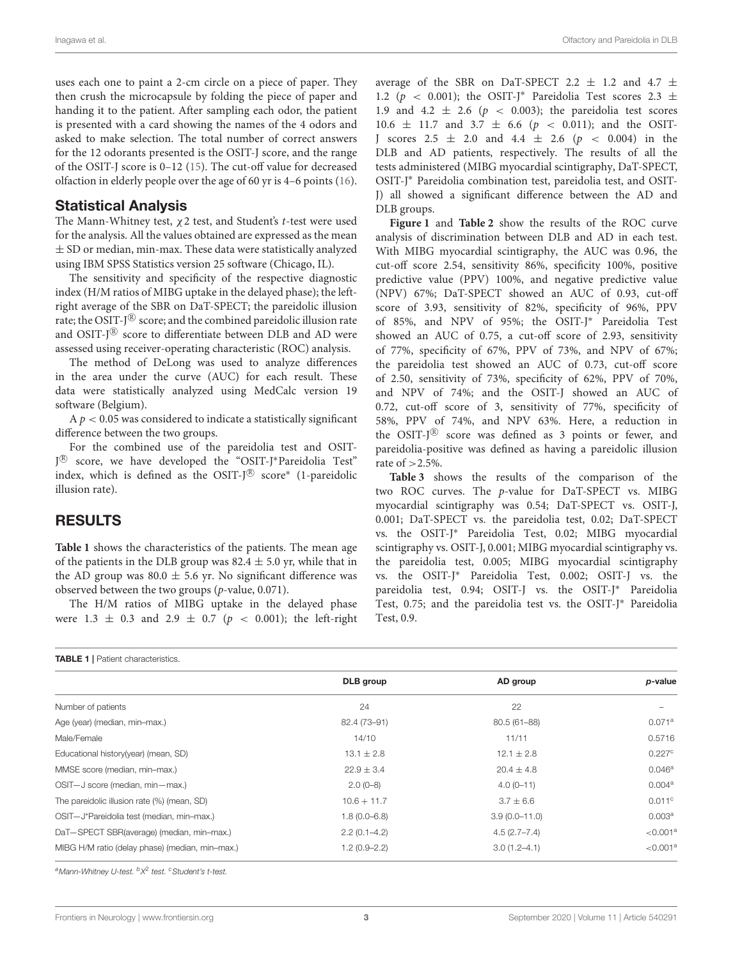uses each one to paint a 2-cm circle on a piece of paper. They then crush the microcapsule by folding the piece of paper and handing it to the patient. After sampling each odor, the patient is presented with a card showing the names of the 4 odors and asked to make selection. The total number of correct answers for the 12 odorants presented is the OSIT-J score, and the range of the OSIT-J score is 0–12 [\(15\)](#page-5-14). The cut-off value for decreased olfaction in elderly people over the age of 60 yr is 4–6 points [\(16\)](#page-5-15).

#### Statistical Analysis

The Mann-Whitney test, χ2 test, and Student's t-test were used for the analysis. All the values obtained are expressed as the mean ± SD or median, min-max. These data were statistically analyzed using IBM SPSS Statistics version 25 software (Chicago, IL).

The sensitivity and specificity of the respective diagnostic index (H/M ratios of MIBG uptake in the delayed phase); the leftright average of the SBR on DaT-SPECT; the pareidolic illusion rate; the OSIT-J $^\circledR$  score; and the combined pareidolic illusion rate and OSIT-J $^{\circledR}$  score to differentiate between DLB and AD were assessed using receiver-operating characteristic (ROC) analysis.

The method of DeLong was used to analyze differences in the area under the curve (AUC) for each result. These data were statistically analyzed using MedCalc version 19 software (Belgium).

 $A p < 0.05$  was considered to indicate a statistically significant difference between the two groups.

For the combined use of the pareidolia test and OSIT-J R score, we have developed the "OSIT-J∗Pareidolia Test" index, which is defined as the OSIT-J<sup>®</sup> score\* (1-pareidolic illusion rate).

## RESULTS

<span id="page-2-0"></span>TABLE 1 | Patient characteristics.

**[Table 1](#page-2-0)** shows the characteristics of the patients. The mean age of the patients in the DLB group was  $82.4 \pm 5.0$  yr, while that in the AD group was  $80.0 \pm 5.6$  yr. No significant difference was observed between the two groups (p-value, 0.071).

The H/M ratios of MIBG uptake in the delayed phase were 1.3  $\pm$  0.3 and 2.9  $\pm$  0.7 ( $p$  < 0.001); the left-right average of the SBR on DaT-SPECT 2.2  $\pm$  1.2 and 4.7  $\pm$ 1.2 ( $p \le 0.001$ ); the OSIT-J<sup>\*</sup> Pareidolia Test scores 2.3 ± 1.9 and 4.2  $\pm$  2.6 ( $p \lt 0.003$ ); the pareidolia test scores 10.6  $\pm$  11.7 and 3.7  $\pm$  6.6 (p < 0.011); and the OSIT-J scores 2.5  $\pm$  2.0 and 4.4  $\pm$  2.6 (p < 0.004) in the DLB and AD patients, respectively. The results of all the tests administered (MIBG myocardial scintigraphy, DaT-SPECT, OSIT-J<sup>∗</sup> Pareidolia combination test, pareidolia test, and OSIT-J) all showed a significant difference between the AD and DLB groups.

**[Figure 1](#page-3-0)** and **[Table 2](#page-3-1)** show the results of the ROC curve analysis of discrimination between DLB and AD in each test. With MIBG myocardial scintigraphy, the AUC was 0.96, the cut-off score 2.54, sensitivity 86%, specificity 100%, positive predictive value (PPV) 100%, and negative predictive value (NPV) 67%; DaT-SPECT showed an AUC of 0.93, cut-off score of 3.93, sensitivity of 82%, specificity of 96%, PPV of 85%, and NPV of 95%; the OSIT-J<sup>∗</sup> Pareidolia Test showed an AUC of 0.75, a cut-off score of 2.93, sensitivity of 77%, specificity of 67%, PPV of 73%, and NPV of 67%; the pareidolia test showed an AUC of 0.73, cut-off score of 2.50, sensitivity of 73%, specificity of 62%, PPV of 70%, and NPV of 74%; and the OSIT-J showed an AUC of 0.72, cut-off score of 3, sensitivity of 77%, specificity of 58%, PPV of 74%, and NPV 63%. Here, a reduction in the OSIT-J<sup>®</sup> score was defined as 3 points or fewer, and pareidolia-positive was defined as having a pareidolic illusion rate of  $>2.5\%$ .

**[Table 3](#page-3-2)** shows the results of the comparison of the two ROC curves. The p-value for DaT-SPECT vs. MIBG myocardial scintigraphy was 0.54; DaT-SPECT vs. OSIT-J, 0.001; DaT-SPECT vs. the pareidolia test, 0.02; DaT-SPECT vs. the OSIT-J<sup>∗</sup> Pareidolia Test, 0.02; MIBG myocardial scintigraphy vs. OSIT-J, 0.001; MIBG myocardial scintigraphy vs. the pareidolia test, 0.005; MIBG myocardial scintigraphy vs. the OSIT-J<sup>∗</sup> Pareidolia Test, 0.002; OSIT-J vs. the pareidolia test, 0.94; OSIT-J vs. the OSIT-J<sup>∗</sup> Pareidolia Test, 0.75; and the pareidolia test vs. the OSIT-J<sup>∗</sup> Pareidolia Test, 0.9.

| <b>INDEE</b> II allotte origination supply      |                  |                   |                      |  |  |  |
|-------------------------------------------------|------------------|-------------------|----------------------|--|--|--|
|                                                 | DLB group        | AD group          | p-value              |  |  |  |
| Number of patients                              | 24               | 22                |                      |  |  |  |
| Age (year) (median, min-max.)                   | 82.4 (73-91)     | 80.5 (61-88)      | 0.071a               |  |  |  |
| Male/Female                                     | 14/10            | 11/11             | 0.5716               |  |  |  |
| Educational history(year) (mean, SD)            | $13.1 \pm 2.8$   | $12.1 \pm 2.8$    | 0.227c               |  |  |  |
| MMSE score (median, min-max.)                   | $22.9 \pm 3.4$   | $20.4 \pm 4.8$    | $0.046^{\rm a}$      |  |  |  |
| OSIT-J score (median, min-max.)                 | $2.0(0-8)$       | $4.0(0-11)$       | $0.004^{\rm a}$      |  |  |  |
| The pareidolic illusion rate (%) (mean, SD)     | $10.6 + 11.7$    | $3.7 \pm 6.6$     | 0.011c               |  |  |  |
| OSIT-J*Pareidolia test (median, min-max.)       | $1.8(0.0 - 6.8)$ | $3.9(0.0 - 11.0)$ | 0.003 <sup>a</sup>   |  |  |  |
| DaT-SPECT SBR(average) (median, min-max.)       | $2.2(0.1 - 4.2)$ | $4.5(2.7 - 7.4)$  | < 0.001 <sup>a</sup> |  |  |  |
| MIBG H/M ratio (delay phase) (median, min-max.) | $1.2(0.9 - 2.2)$ | $3.0(1.2 - 4.1)$  | < 0.001 <sup>a</sup> |  |  |  |

*<sup>a</sup>Mann-Whitney U-test. <sup>b</sup>X* 2 *test. <sup>c</sup>Student's t-test.*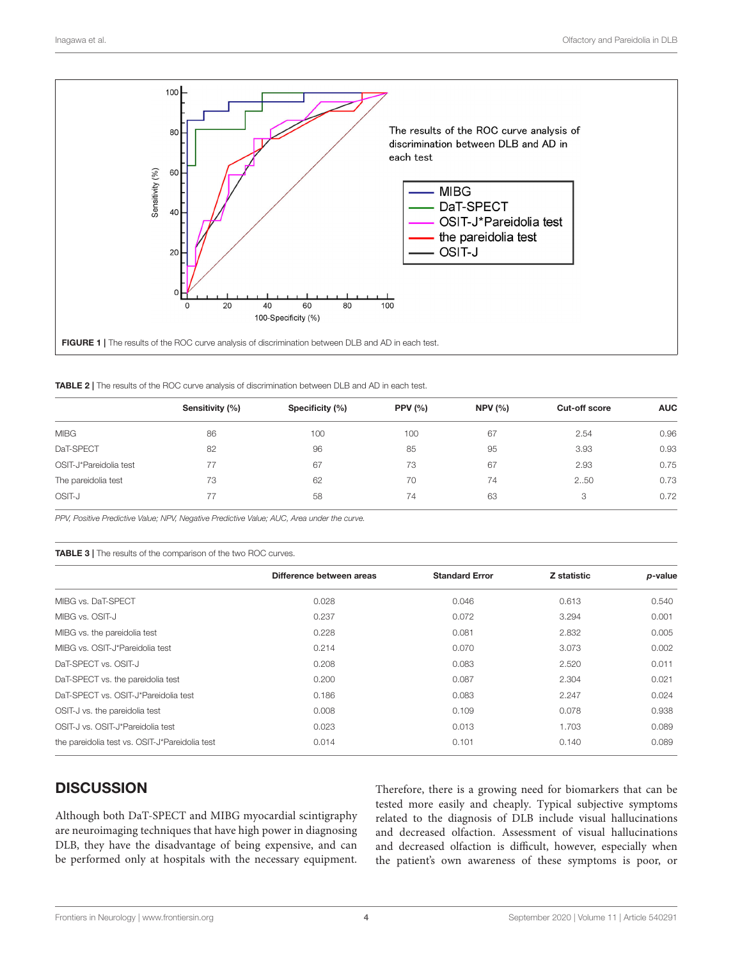

<span id="page-3-1"></span><span id="page-3-0"></span>TABLE 2 | The results of the ROC curve analysis of discrimination between DLB and AD in each test.

|                        | Sensitivity (%) | Specificity (%) | PPV $(% )$ | NPV $(%)$ | <b>Cut-off score</b> | <b>AUC</b> |
|------------------------|-----------------|-----------------|------------|-----------|----------------------|------------|
| <b>MIBG</b>            | 86              | 100             | 100        | 67        | 2.54                 | 0.96       |
| DaT-SPECT              | 82              | 96              | 85         | 95        | 3.93                 | 0.93       |
| OSIT-J*Pareidolia test | 77              | 67              | 73         | 67        | 2.93                 | 0.75       |
| The pareidolia test    | 73              | 62              | 70         | 74        | 2.50                 | 0.73       |
| OSIT-J                 |                 | 58              | 74         | 63        | 3                    | 0.72       |

*PPV, Positive Predictive Value; NPV, Negative Predictive Value; AUC, Area under the curve.*

<span id="page-3-2"></span>TABLE 3 | The results of the comparison of the two ROC curves.

|                                                | Difference between areas | <b>Standard Error</b> | Z statistic | p-value |
|------------------------------------------------|--------------------------|-----------------------|-------------|---------|
| MIBG vs. DaT-SPECT                             | 0.028                    | 0.046                 | 0.613       | 0.540   |
| MIBG vs. OSIT-J                                | 0.237                    | 0.072                 | 3.294       | 0.001   |
| MIBG vs. the pareidolia test                   | 0.228                    | 0.081                 | 2.832       | 0.005   |
| MIBG vs. OSIT-J*Pareidolia test                | 0.214                    | 0.070                 | 3.073       | 0.002   |
| DaT-SPECT vs. OSIT-J                           | 0.208                    | 0.083                 | 2.520       | 0.011   |
| DaT-SPECT vs. the pareidolia test              | 0.200                    | 0.087                 | 2.304       | 0.021   |
| DaT-SPECT vs. OSIT-J*Pareidolia test           | 0.186                    | 0.083                 | 2.247       | 0.024   |
| OSIT-J vs. the pareidolia test                 | 0.008                    | 0.109                 | 0.078       | 0.938   |
| OSIT-J vs. OSIT-J*Pareidolia test              | 0.023                    | 0.013                 | 1.703       | 0.089   |
| the pareidolia test vs. OSIT-J*Pareidolia test | 0.014                    | 0.101                 | 0.140       | 0.089   |

# **DISCUSSION**

Although both DaT-SPECT and MIBG myocardial scintigraphy are neuroimaging techniques that have high power in diagnosing DLB, they have the disadvantage of being expensive, and can be performed only at hospitals with the necessary equipment. Therefore, there is a growing need for biomarkers that can be tested more easily and cheaply. Typical subjective symptoms related to the diagnosis of DLB include visual hallucinations and decreased olfaction. Assessment of visual hallucinations and decreased olfaction is difficult, however, especially when the patient's own awareness of these symptoms is poor, or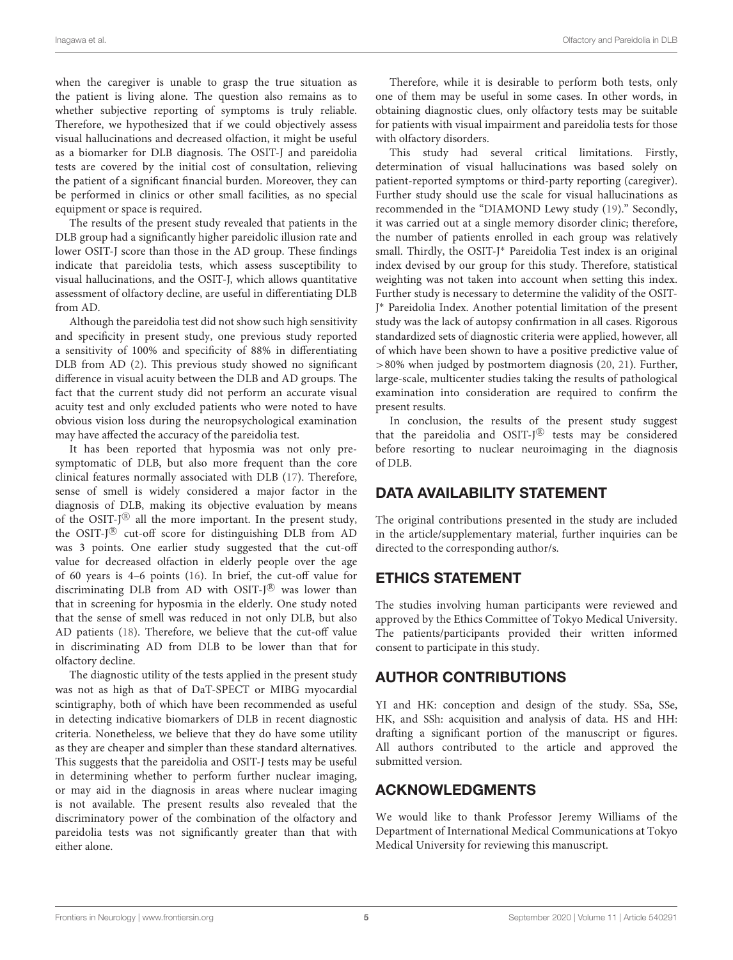when the caregiver is unable to grasp the true situation as the patient is living alone. The question also remains as to whether subjective reporting of symptoms is truly reliable. Therefore, we hypothesized that if we could objectively assess visual hallucinations and decreased olfaction, it might be useful as a biomarker for DLB diagnosis. The OSIT-J and pareidolia tests are covered by the initial cost of consultation, relieving the patient of a significant financial burden. Moreover, they can be performed in clinics or other small facilities, as no special equipment or space is required.

The results of the present study revealed that patients in the DLB group had a significantly higher pareidolic illusion rate and lower OSIT-J score than those in the AD group. These findings indicate that pareidolia tests, which assess susceptibility to visual hallucinations, and the OSIT-J, which allows quantitative assessment of olfactory decline, are useful in differentiating DLB from AD.

Although the pareidolia test did not show such high sensitivity and specificity in present study, one previous study reported a sensitivity of 100% and specificity of 88% in differentiating DLB from AD [\(2\)](#page-5-1). This previous study showed no significant difference in visual acuity between the DLB and AD groups. The fact that the current study did not perform an accurate visual acuity test and only excluded patients who were noted to have obvious vision loss during the neuropsychological examination may have affected the accuracy of the pareidolia test.

It has been reported that hyposmia was not only presymptomatic of DLB, but also more frequent than the core clinical features normally associated with DLB [\(17\)](#page-5-16). Therefore, sense of smell is widely considered a major factor in the diagnosis of DLB, making its objective evaluation by means of the OSIT-J $^{\circledR}$  all the more important. In the present study, the OSIT-J<sup>®</sup> cut-off score for distinguishing DLB from AD was 3 points. One earlier study suggested that the cut-off value for decreased olfaction in elderly people over the age of 60 years is 4–6 points [\(16\)](#page-5-15). In brief, the cut-off value for discriminating DLB from AD with OSIT- $J^{\circledR}$  was lower than that in screening for hyposmia in the elderly. One study noted that the sense of smell was reduced in not only DLB, but also AD patients [\(18\)](#page-5-17). Therefore, we believe that the cut-off value in discriminating AD from DLB to be lower than that for olfactory decline.

The diagnostic utility of the tests applied in the present study was not as high as that of DaT-SPECT or MIBG myocardial scintigraphy, both of which have been recommended as useful in detecting indicative biomarkers of DLB in recent diagnostic criteria. Nonetheless, we believe that they do have some utility as they are cheaper and simpler than these standard alternatives. This suggests that the pareidolia and OSIT-J tests may be useful in determining whether to perform further nuclear imaging, or may aid in the diagnosis in areas where nuclear imaging is not available. The present results also revealed that the discriminatory power of the combination of the olfactory and pareidolia tests was not significantly greater than that with either alone.

Therefore, while it is desirable to perform both tests, only one of them may be useful in some cases. In other words, in obtaining diagnostic clues, only olfactory tests may be suitable for patients with visual impairment and pareidolia tests for those with olfactory disorders.

This study had several critical limitations. Firstly, determination of visual hallucinations was based solely on patient-reported symptoms or third-party reporting (caregiver). Further study should use the scale for visual hallucinations as recommended in the "DIAMOND Lewy study [\(19\)](#page-5-18)." Secondly, it was carried out at a single memory disorder clinic; therefore, the number of patients enrolled in each group was relatively small. Thirdly, the OSIT-J<sup>\*</sup> Pareidolia Test index is an original index devised by our group for this study. Therefore, statistical weighting was not taken into account when setting this index. Further study is necessary to determine the validity of the OSIT-J <sup>∗</sup> Pareidolia Index. Another potential limitation of the present study was the lack of autopsy confirmation in all cases. Rigorous standardized sets of diagnostic criteria were applied, however, all of which have been shown to have a positive predictive value of >80% when judged by postmortem diagnosis [\(20,](#page-5-19) [21\)](#page-5-20). Further, large-scale, multicenter studies taking the results of pathological examination into consideration are required to confirm the present results.

In conclusion, the results of the present study suggest that the pareidolia and OSIT-J® tests may be considered before resorting to nuclear neuroimaging in the diagnosis of DLB.

# DATA AVAILABILITY STATEMENT

The original contributions presented in the study are included in the article/supplementary material, further inquiries can be directed to the corresponding author/s.

# ETHICS STATEMENT

The studies involving human participants were reviewed and approved by the Ethics Committee of Tokyo Medical University. The patients/participants provided their written informed consent to participate in this study.

# AUTHOR CONTRIBUTIONS

YI and HK: conception and design of the study. SSa, SSe, HK, and SSh: acquisition and analysis of data. HS and HH: drafting a significant portion of the manuscript or figures. All authors contributed to the article and approved the submitted version.

# ACKNOWLEDGMENTS

We would like to thank Professor Jeremy Williams of the Department of International Medical Communications at Tokyo Medical University for reviewing this manuscript.